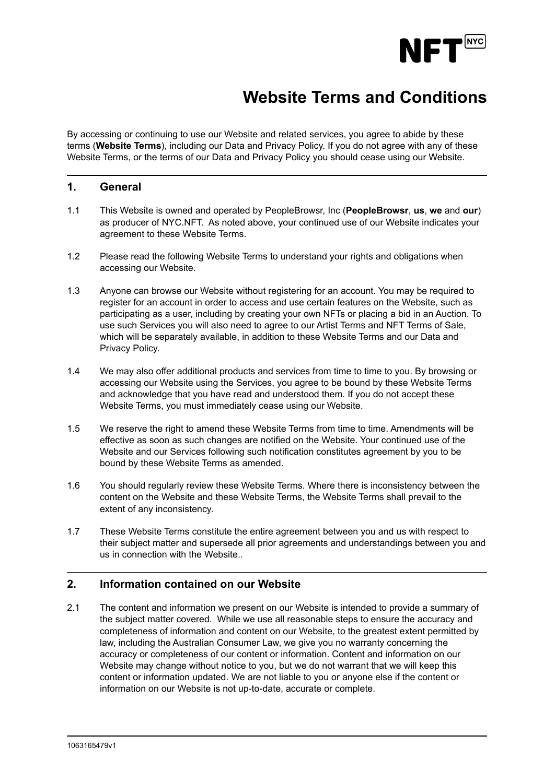

# **Website Terms and Conditions**

By accessing or continuing to use our Website and related services, you agree to abide by these terms (**Website Terms**), including our Data and Privacy Policy. If you do not agree with any of these Website Terms, or the terms of our Data and Privacy Policy you should cease using our Website.

# **1. General**

- 1.1 This Website is owned and operated by PeopleBrowsr, Inc (**PeopleBrowsr**, **us**, **we** and **our**) as producer of NYC.NFT. As noted above, your continued use of our Website indicates your agreement to these Website Terms.
- 1.2 Please read the following Website Terms to understand your rights and obligations when accessing our Website.
- 1.3 Anyone can browse our Website without registering for an account. You may be required to register for an account in order to access and use certain features on the Website, such as participating as a user, including by creating your own NFTs or placing a bid in an Auction. To use such Services you will also need to agree to our Artist Terms and NFT Terms of Sale, which will be separately available, in addition to these Website Terms and our Data and Privacy Policy.
- 1.4 We may also offer additional products and services from time to time to you. By browsing or accessing our Website using the Services, you agree to be bound by these Website Terms and acknowledge that you have read and understood them. If you do not accept these Website Terms, you must immediately cease using our Website.
- 1.5 We reserve the right to amend these Website Terms from time to time. Amendments will be effective as soon as such changes are notified on the Website. Your continued use of the Website and our Services following such notification constitutes agreement by you to be bound by these Website Terms as amended.
- 1.6 You should regularly review these Website Terms. Where there is inconsistency between the content on the Website and these Website Terms, the Website Terms shall prevail to the extent of any inconsistency.
- 1.7 These Website Terms constitute the entire agreement between you and us with respect to their subject matter and supersede all prior agreements and understandings between you and us in connection with the Website..

# **2. Information contained on our Website**

2.1 The content and information we present on our Website is intended to provide a summary of the subject matter covered. While we use all reasonable steps to ensure the accuracy and completeness of information and content on our Website, to the greatest extent permitted by law, including the Australian Consumer Law, we give you no warranty concerning the accuracy or completeness of our content or information. Content and information on our Website may change without notice to you, but we do not warrant that we will keep this content or information updated. We are not liable to you or anyone else if the content or information on our Website is not up-to-date, accurate or complete.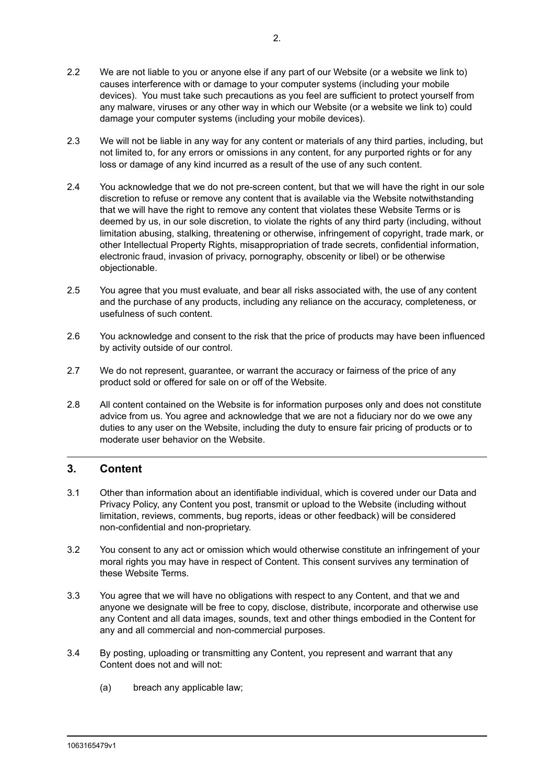- 2.2 We are not liable to you or anyone else if any part of our Website (or a website we link to) causes interference with or damage to your computer systems (including your mobile devices). You must take such precautions as you feel are sufficient to protect yourself from any malware, viruses or any other way in which our Website (or a website we link to) could damage your computer systems (including your mobile devices).
- 2.3 We will not be liable in any way for any content or materials of any third parties, including, but not limited to, for any errors or omissions in any content, for any purported rights or for any loss or damage of any kind incurred as a result of the use of any such content.
- 2.4 You acknowledge that we do not pre-screen content, but that we will have the right in our sole discretion to refuse or remove any content that is available via the Website notwithstanding that we will have the right to remove any content that violates these Website Terms or is deemed by us, in our sole discretion, to violate the rights of any third party (including, without limitation abusing, stalking, threatening or otherwise, infringement of copyright, trade mark, or other Intellectual Property Rights, misappropriation of trade secrets, confidential information, electronic fraud, invasion of privacy, pornography, obscenity or libel) or be otherwise objectionable.
- 2.5 You agree that you must evaluate, and bear all risks associated with, the use of any content and the purchase of any products, including any reliance on the accuracy, completeness, or usefulness of such content.
- 2.6 You acknowledge and consent to the risk that the price of products may have been influenced by activity outside of our control.
- 2.7 We do not represent, guarantee, or warrant the accuracy or fairness of the price of any product sold or offered for sale on or off of the Website.
- 2.8 All content contained on the Website is for information purposes only and does not constitute advice from us. You agree and acknowledge that we are not a fiduciary nor do we owe any duties to any user on the Website, including the duty to ensure fair pricing of products or to moderate user behavior on the Website.

# **3. Content**

- 3.1 Other than information about an identifiable individual, which is covered under our Data and Privacy Policy, any Content you post, transmit or upload to the Website (including without limitation, reviews, comments, bug reports, ideas or other feedback) will be considered non-confidential and non-proprietary.
- 3.2 You consent to any act or omission which would otherwise constitute an infringement of your moral rights you may have in respect of Content. This consent survives any termination of these Website Terms.
- 3.3 You agree that we will have no obligations with respect to any Content, and that we and anyone we designate will be free to copy, disclose, distribute, incorporate and otherwise use any Content and all data images, sounds, text and other things embodied in the Content for any and all commercial and non-commercial purposes.
- 3.4 By posting, uploading or transmitting any Content, you represent and warrant that any Content does not and will not:
	- (a) breach any applicable law;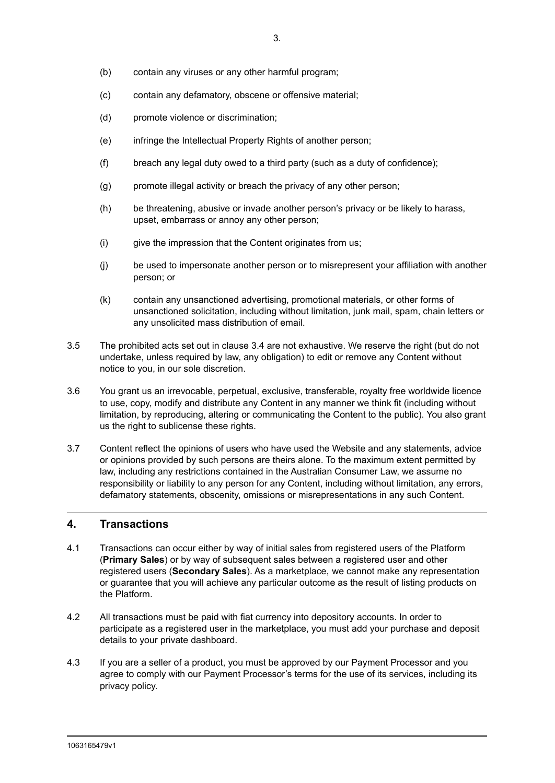- (b) contain any viruses or any other harmful program;
- (c) contain any defamatory, obscene or offensive material;
- (d) promote violence or discrimination;
- (e) infringe the Intellectual Property Rights of another person;
- (f) breach any legal duty owed to a third party (such as a duty of confidence);
- (g) promote illegal activity or breach the privacy of any other person;
- (h) be threatening, abusive or invade another person's privacy or be likely to harass, upset, embarrass or annoy any other person;
- (i) give the impression that the Content originates from us;
- (j) be used to impersonate another person or to misrepresent your affiliation with another person; or
- (k) contain any unsanctioned advertising, promotional materials, or other forms of unsanctioned solicitation, including without limitation, junk mail, spam, chain letters or any unsolicited mass distribution of email.
- 3.5 The prohibited acts set out in clause 3.4 are not exhaustive. We reserve the right (but do not undertake, unless required by law, any obligation) to edit or remove any Content without notice to you, in our sole discretion.
- 3.6 You grant us an irrevocable, perpetual, exclusive, transferable, royalty free worldwide licence to use, copy, modify and distribute any Content in any manner we think fit (including without limitation, by reproducing, altering or communicating the Content to the public). You also grant us the right to sublicense these rights.
- 3.7 Content reflect the opinions of users who have used the Website and any statements, advice or opinions provided by such persons are theirs alone. To the maximum extent permitted by law, including any restrictions contained in the Australian Consumer Law, we assume no responsibility or liability to any person for any Content, including without limitation, any errors, defamatory statements, obscenity, omissions or misrepresentations in any such Content.

#### **4. Transactions**

- 4.1 Transactions can occur either by way of initial sales from registered users of the Platform (**Primary Sales**) or by way of subsequent sales between a registered user and other registered users (**Secondary Sales**). As a marketplace, we cannot make any representation or guarantee that you will achieve any particular outcome as the result of listing products on the Platform.
- 4.2 All transactions must be paid with fiat currency into depository accounts. In order to participate as a registered user in the marketplace, you must add your purchase and deposit details to your private dashboard.
- 4.3 If you are a seller of a product, you must be approved by our Payment Processor and you agree to comply with our Payment Processor's terms for the use of its services, including its privacy policy.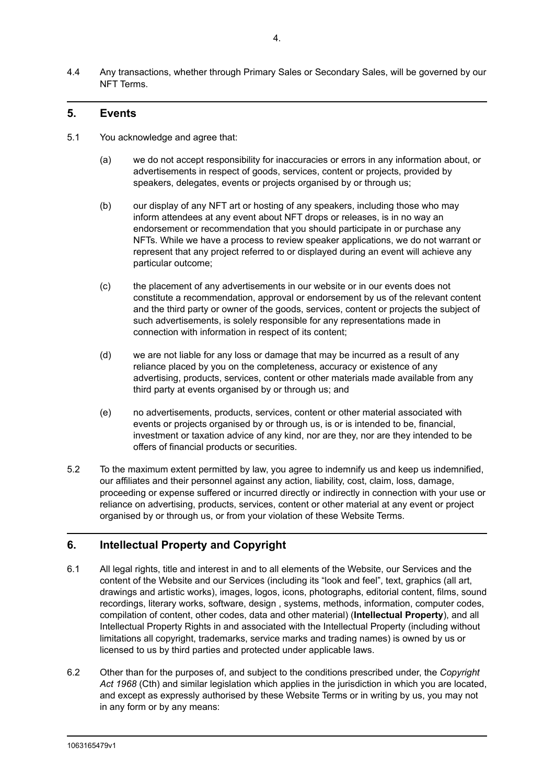4.4 Any transactions, whether through Primary Sales or Secondary Sales, will be governed by our NFT Terms.

# **5. Events**

- 5.1 You acknowledge and agree that:
	- (a) we do not accept responsibility for inaccuracies or errors in any information about, or advertisements in respect of goods, services, content or projects, provided by speakers, delegates, events or projects organised by or through us;
	- (b) our display of any NFT art or hosting of any speakers, including those who may inform attendees at any event about NFT drops or releases, is in no way an endorsement or recommendation that you should participate in or purchase any NFTs. While we have a process to review speaker applications, we do not warrant or represent that any project referred to or displayed during an event will achieve any particular outcome;
	- (c) the placement of any advertisements in our website or in our events does not constitute a recommendation, approval or endorsement by us of the relevant content and the third party or owner of the goods, services, content or projects the subject of such advertisements, is solely responsible for any representations made in connection with information in respect of its content;
	- (d) we are not liable for any loss or damage that may be incurred as a result of any reliance placed by you on the completeness, accuracy or existence of any advertising, products, services, content or other materials made available from any third party at events organised by or through us; and
	- (e) no advertisements, products, services, content or other material associated with events or projects organised by or through us, is or is intended to be, financial, investment or taxation advice of any kind, nor are they, nor are they intended to be offers of financial products or securities.
- 5.2 To the maximum extent permitted by law, you agree to indemnify us and keep us indemnified, our affiliates and their personnel against any action, liability, cost, claim, loss, damage, proceeding or expense suffered or incurred directly or indirectly in connection with your use or reliance on advertising, products, services, content or other material at any event or project organised by or through us, or from your violation of these Website Terms.

# **6. Intellectual Property and Copyright**

- 6.1 All legal rights, title and interest in and to all elements of the Website, our Services and the content of the Website and our Services (including its "look and feel", text, graphics (all art, drawings and artistic works), images, logos, icons, photographs, editorial content, films, sound recordings, literary works, software, design , systems, methods, information, computer codes, compilation of content, other codes, data and other material) (**Intellectual Property**), and all Intellectual Property Rights in and associated with the Intellectual Property (including without limitations all copyright, trademarks, service marks and trading names) is owned by us or licensed to us by third parties and protected under applicable laws.
- 6.2 Other than for the purposes of, and subject to the conditions prescribed under, the *Copyright Act 1968* (Cth) and similar legislation which applies in the jurisdiction in which you are located, and except as expressly authorised by these Website Terms or in writing by us, you may not in any form or by any means: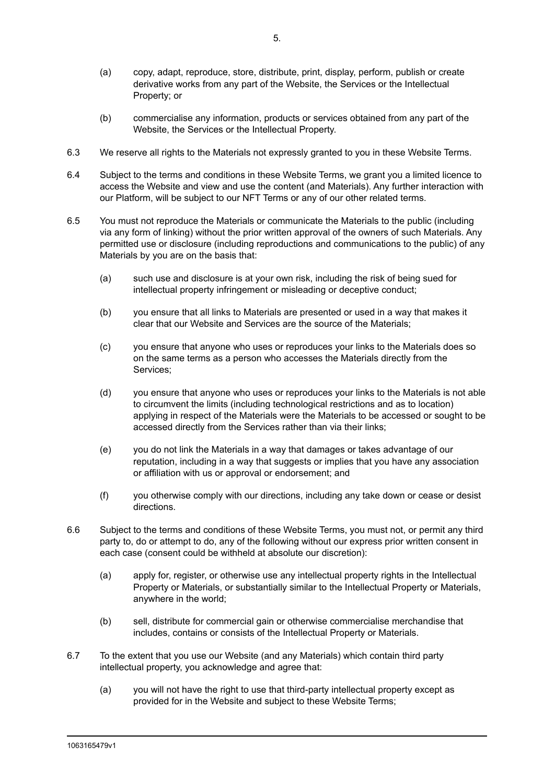- (a) copy, adapt, reproduce, store, distribute, print, display, perform, publish or create derivative works from any part of the Website, the Services or the Intellectual Property; or
- (b) commercialise any information, products or services obtained from any part of the Website, the Services or the Intellectual Property.
- 6.3 We reserve all rights to the Materials not expressly granted to you in these Website Terms.
- 6.4 Subject to the terms and conditions in these Website Terms, we grant you a limited licence to access the Website and view and use the content (and Materials). Any further interaction with our Platform, will be subject to our NFT Terms or any of our other related terms.
- 6.5 You must not reproduce the Materials or communicate the Materials to the public (including via any form of linking) without the prior written approval of the owners of such Materials. Any permitted use or disclosure (including reproductions and communications to the public) of any Materials by you are on the basis that:
	- (a) such use and disclosure is at your own risk, including the risk of being sued for intellectual property infringement or misleading or deceptive conduct;
	- (b) you ensure that all links to Materials are presented or used in a way that makes it clear that our Website and Services are the source of the Materials;
	- (c) you ensure that anyone who uses or reproduces your links to the Materials does so on the same terms as a person who accesses the Materials directly from the Services;
	- (d) you ensure that anyone who uses or reproduces your links to the Materials is not able to circumvent the limits (including technological restrictions and as to location) applying in respect of the Materials were the Materials to be accessed or sought to be accessed directly from the Services rather than via their links;
	- (e) you do not link the Materials in a way that damages or takes advantage of our reputation, including in a way that suggests or implies that you have any association or affiliation with us or approval or endorsement; and
	- (f) you otherwise comply with our directions, including any take down or cease or desist directions.
- 6.6 Subject to the terms and conditions of these Website Terms, you must not, or permit any third party to, do or attempt to do, any of the following without our express prior written consent in each case (consent could be withheld at absolute our discretion):
	- (a) apply for, register, or otherwise use any intellectual property rights in the Intellectual Property or Materials, or substantially similar to the Intellectual Property or Materials, anywhere in the world;
	- (b) sell, distribute for commercial gain or otherwise commercialise merchandise that includes, contains or consists of the Intellectual Property or Materials.
- 6.7 To the extent that you use our Website (and any Materials) which contain third party intellectual property, you acknowledge and agree that:
	- (a) you will not have the right to use that third-party intellectual property except as provided for in the Website and subject to these Website Terms;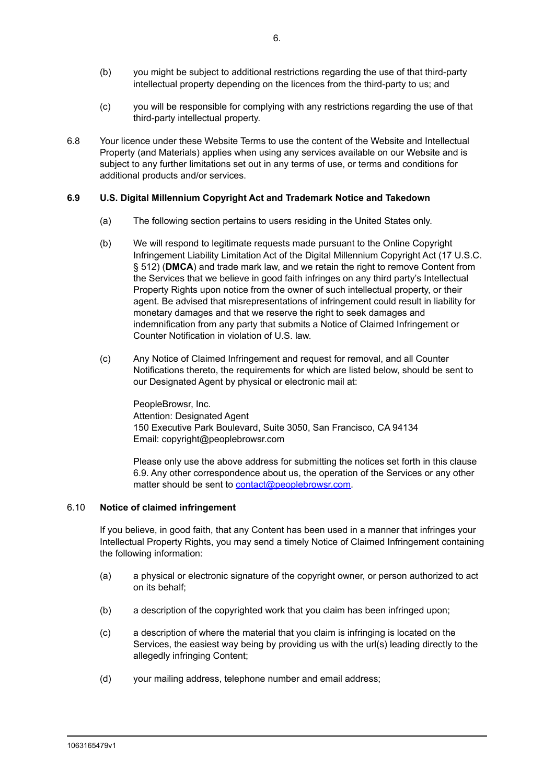- (b) you might be subject to additional restrictions regarding the use of that third-party intellectual property depending on the licences from the third-party to us; and
- (c) you will be responsible for complying with any restrictions regarding the use of that third-party intellectual property.
- 6.8 Your licence under these Website Terms to use the content of the Website and Intellectual Property (and Materials) applies when using any services available on our Website and is subject to any further limitations set out in any terms of use, or terms and conditions for additional products and/or services.

#### **6.9 U.S. Digital Millennium Copyright Act and Trademark Notice and Takedown**

- (a) The following section pertains to users residing in the United States only.
- (b) We will respond to legitimate requests made pursuant to the Online Copyright Infringement Liability Limitation Act of the Digital Millennium Copyright Act (17 U.S.C. § 512) (**DMCA**) and trade mark law, and we retain the right to remove Content from the Services that we believe in good faith infringes on any third party's Intellectual Property Rights upon notice from the owner of such intellectual property, or their agent. Be advised that misrepresentations of infringement could result in liability for monetary damages and that we reserve the right to seek damages and indemnification from any party that submits a Notice of Claimed Infringement or Counter Notification in violation of U.S. law.
- (c) Any Notice of Claimed Infringement and request for removal, and all Counter Notifications thereto, the requirements for which are listed below, should be sent to our Designated Agent by physical or electronic mail at:

PeopleBrowsr, Inc. Attention: Designated Agent 150 Executive Park Boulevard, Suite 3050, San Francisco, CA 94134 Email: copyright@peoplebrowsr.com

Please only use the above address for submitting the notices set forth in this clause 6.9. Any other correspondence about us, the operation of the Services or any other matter should be sent to [contact@peoplebrowsr.com.](mailto:contact@peoplebrowsr.com)

#### 6.10 **Notice of claimed infringement**

If you believe, in good faith, that any Content has been used in a manner that infringes your Intellectual Property Rights, you may send a timely Notice of Claimed Infringement containing the following information:

- (a) a physical or electronic signature of the copyright owner, or person authorized to act on its behalf;
- (b) a description of the copyrighted work that you claim has been infringed upon;
- (c) a description of where the material that you claim is infringing is located on the Services, the easiest way being by providing us with the url(s) leading directly to the allegedly infringing Content;
- (d) your mailing address, telephone number and email address;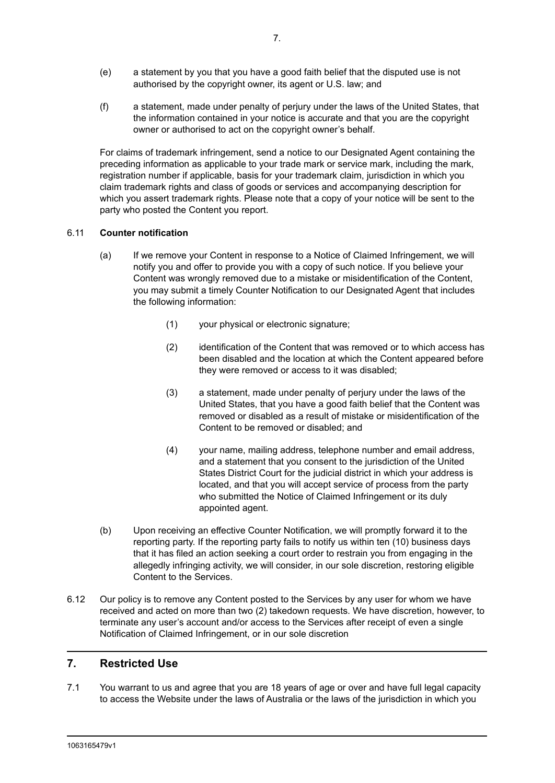- (e) a statement by you that you have a good faith belief that the disputed use is not authorised by the copyright owner, its agent or U.S. law; and
- (f) a statement, made under penalty of perjury under the laws of the United States, that the information contained in your notice is accurate and that you are the copyright owner or authorised to act on the copyright owner's behalf.

For claims of trademark infringement, send a notice to our Designated Agent containing the preceding information as applicable to your trade mark or service mark, including the mark, registration number if applicable, basis for your trademark claim, jurisdiction in which you claim trademark rights and class of goods or services and accompanying description for which you assert trademark rights. Please note that a copy of your notice will be sent to the party who posted the Content you report.

#### 6.11 **Counter notification**

- (a) If we remove your Content in response to a Notice of Claimed Infringement, we will notify you and offer to provide you with a copy of such notice. If you believe your Content was wrongly removed due to a mistake or misidentification of the Content, you may submit a timely Counter Notification to our Designated Agent that includes the following information:
	- (1) your physical or electronic signature;
	- (2) identification of the Content that was removed or to which access has been disabled and the location at which the Content appeared before they were removed or access to it was disabled;
	- (3) a statement, made under penalty of perjury under the laws of the United States, that you have a good faith belief that the Content was removed or disabled as a result of mistake or misidentification of the Content to be removed or disabled; and
	- (4) your name, mailing address, telephone number and email address, and a statement that you consent to the jurisdiction of the United States District Court for the judicial district in which your address is located, and that you will accept service of process from the party who submitted the Notice of Claimed Infringement or its duly appointed agent.
- (b) Upon receiving an effective Counter Notification, we will promptly forward it to the reporting party. If the reporting party fails to notify us within ten (10) business days that it has filed an action seeking a court order to restrain you from engaging in the allegedly infringing activity, we will consider, in our sole discretion, restoring eligible Content to the Services.
- 6.12 Our policy is to remove any Content posted to the Services by any user for whom we have received and acted on more than two (2) takedown requests. We have discretion, however, to terminate any user's account and/or access to the Services after receipt of even a single Notification of Claimed Infringement, or in our sole discretion

# **7. Restricted Use**

7.1 You warrant to us and agree that you are 18 years of age or over and have full legal capacity to access the Website under the laws of Australia or the laws of the jurisdiction in which you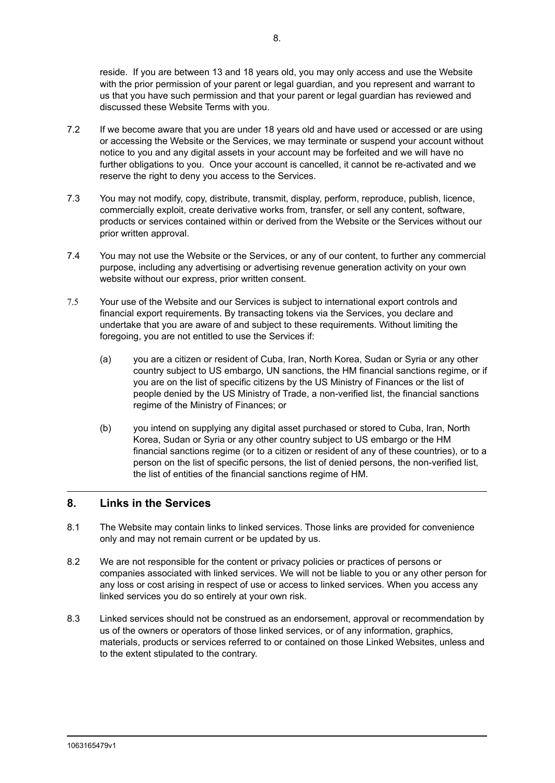reside. If you are between 13 and 18 years old, you may only access and use the Website with the prior permission of your parent or legal guardian, and you represent and warrant to us that you have such permission and that your parent or legal guardian has reviewed and discussed these Website Terms with you.

- 7.2 If we become aware that you are under 18 years old and have used or accessed or are using or accessing the Website or the Services, we may terminate or suspend your account without notice to you and any digital assets in your account may be forfeited and we will have no further obligations to you. Once your account is cancelled, it cannot be re-activated and we reserve the right to deny you access to the Services.
- 7.3 You may not modify, copy, distribute, transmit, display, perform, reproduce, publish, licence, commercially exploit, create derivative works from, transfer, or sell any content, software, products or services contained within or derived from the Website or the Services without our prior written approval.
- 7.4 You may not use the Website or the Services, or any of our content, to further any commercial purpose, including any advertising or advertising revenue generation activity on your own website without our express, prior written consent.
- 7.5 Your use of the Website and our Services is subject to international export controls and financial export requirements. By transacting tokens via the Services, you declare and undertake that you are aware of and subject to these requirements. Without limiting the foregoing, you are not entitled to use the Services if:
	- (a) you are a citizen or resident of Cuba, Iran, North Korea, Sudan or Syria or any other country subject to US embargo, UN sanctions, the HM financial sanctions regime, or if you are on the list of specific citizens by the US Ministry of Finances or the list of people denied by the US Ministry of Trade, a non-verified list, the financial sanctions regime of the Ministry of Finances; or
	- (b) you intend on supplying any digital asset purchased or stored to Cuba, Iran, North Korea, Sudan or Syria or any other country subject to US embargo or the HM financial sanctions regime (or to a citizen or resident of any of these countries), or to a person on the list of specific persons, the list of denied persons, the non-verified list, the list of entities of the financial sanctions regime of HM.

# **8. Links in the Services**

- 8.1 The Website may contain links to linked services. Those links are provided for convenience only and may not remain current or be updated by us.
- 8.2 We are not responsible for the content or privacy policies or practices of persons or companies associated with linked services. We will not be liable to you or any other person for any loss or cost arising in respect of use or access to linked services. When you access any linked services you do so entirely at your own risk.
- 8.3 Linked services should not be construed as an endorsement, approval or recommendation by us of the owners or operators of those linked services, or of any information, graphics, materials, products or services referred to or contained on those Linked Websites, unless and to the extent stipulated to the contrary.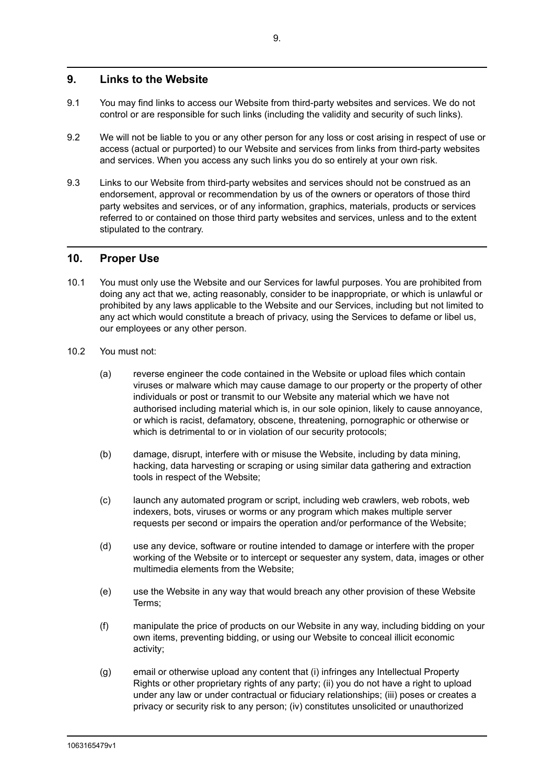# **9. Links to the Website**

- 9.1 You may find links to access our Website from third-party websites and services. We do not control or are responsible for such links (including the validity and security of such links).
- 9.2 We will not be liable to you or any other person for any loss or cost arising in respect of use or access (actual or purported) to our Website and services from links from third-party websites and services. When you access any such links you do so entirely at your own risk.
- 9.3 Links to our Website from third-party websites and services should not be construed as an endorsement, approval or recommendation by us of the owners or operators of those third party websites and services, or of any information, graphics, materials, products or services referred to or contained on those third party websites and services, unless and to the extent stipulated to the contrary.

# **10. Proper Use**

- 10.1 You must only use the Website and our Services for lawful purposes. You are prohibited from doing any act that we, acting reasonably, consider to be inappropriate, or which is unlawful or prohibited by any laws applicable to the Website and our Services, including but not limited to any act which would constitute a breach of privacy, using the Services to defame or libel us, our employees or any other person.
- 10.2 You must not:
	- (a) reverse engineer the code contained in the Website or upload files which contain viruses or malware which may cause damage to our property or the property of other individuals or post or transmit to our Website any material which we have not authorised including material which is, in our sole opinion, likely to cause annoyance, or which is racist, defamatory, obscene, threatening, pornographic or otherwise or which is detrimental to or in violation of our security protocols;
	- (b) damage, disrupt, interfere with or misuse the Website, including by data mining, hacking, data harvesting or scraping or using similar data gathering and extraction tools in respect of the Website;
	- (c) launch any automated program or script, including web crawlers, web robots, web indexers, bots, viruses or worms or any program which makes multiple server requests per second or impairs the operation and/or performance of the Website;
	- (d) use any device, software or routine intended to damage or interfere with the proper working of the Website or to intercept or sequester any system, data, images or other multimedia elements from the Website;
	- (e) use the Website in any way that would breach any other provision of these Website Terms;
	- (f) manipulate the price of products on our Website in any way, including bidding on your own items, preventing bidding, or using our Website to conceal illicit economic activity;
	- (g) email or otherwise upload any content that (i) infringes any Intellectual Property Rights or other proprietary rights of any party; (ii) you do not have a right to upload under any law or under contractual or fiduciary relationships; (iii) poses or creates a privacy or security risk to any person; (iv) constitutes unsolicited or unauthorized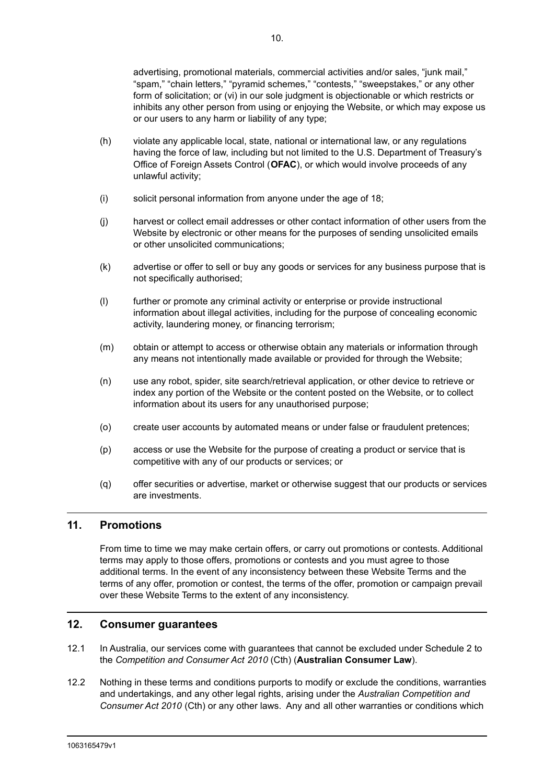advertising, promotional materials, commercial activities and/or sales, "junk mail," "spam," "chain letters," "pyramid schemes," "contests," "sweepstakes," or any other form of solicitation; or (vi) in our sole judgment is objectionable or which restricts or inhibits any other person from using or enjoying the Website, or which may expose us or our users to any harm or liability of any type;

- (h) violate any applicable local, state, national or international law, or any regulations having the force of law, including but not limited to the U.S. Department of Treasury's Office of Foreign Assets Control (**OFAC**), or which would involve proceeds of any unlawful activity;
- (i) solicit personal information from anyone under the age of 18;
- (j) harvest or collect email addresses or other contact information of other users from the Website by electronic or other means for the purposes of sending unsolicited emails or other unsolicited communications;
- (k) advertise or offer to sell or buy any goods or services for any business purpose that is not specifically authorised;
- (l) further or promote any criminal activity or enterprise or provide instructional information about illegal activities, including for the purpose of concealing economic activity, laundering money, or financing terrorism;
- (m) obtain or attempt to access or otherwise obtain any materials or information through any means not intentionally made available or provided for through the Website;
- (n) use any robot, spider, site search/retrieval application, or other device to retrieve or index any portion of the Website or the content posted on the Website, or to collect information about its users for any unauthorised purpose;
- (o) create user accounts by automated means or under false or fraudulent pretences;
- (p) access or use the Website for the purpose of creating a product or service that is competitive with any of our products or services; or
- (q) offer securities or advertise, market or otherwise suggest that our products or services are investments.

#### **11. Promotions**

From time to time we may make certain offers, or carry out promotions or contests. Additional terms may apply to those offers, promotions or contests and you must agree to those additional terms. In the event of any inconsistency between these Website Terms and the terms of any offer, promotion or contest, the terms of the offer, promotion or campaign prevail over these Website Terms to the extent of any inconsistency.

#### **12. Consumer guarantees**

- 12.1 In Australia, our services come with guarantees that cannot be excluded under Schedule 2 to the *Competition and Consumer Act 2010* (Cth) (**Australian Consumer Law**).
- 12.2 Nothing in these terms and conditions purports to modify or exclude the conditions, warranties and undertakings, and any other legal rights, arising under the *Australian Competition and Consumer Act 2010* (Cth) or any other laws. Any and all other warranties or conditions which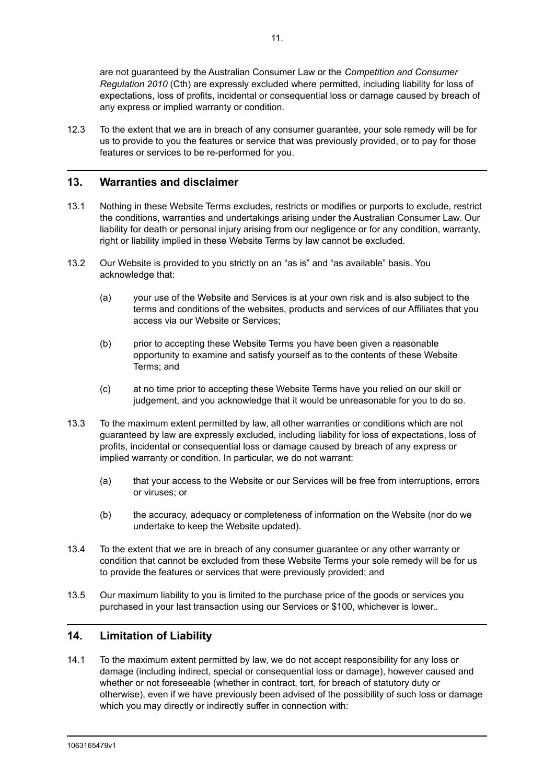are not guaranteed by the Australian Consumer Law or the *Competition and Consumer Regulation 2010* (Cth) are expressly excluded where permitted, including liability for loss of expectations, loss of profits, incidental or consequential loss or damage caused by breach of any express or implied warranty or condition.

12.3 To the extent that we are in breach of any consumer guarantee, your sole remedy will be for us to provide to you the features or service that was previously provided, or to pay for those features or services to be re-performed for you.

# **13. Warranties and disclaimer**

- 13.1 Nothing in these Website Terms excludes, restricts or modifies or purports to exclude, restrict the conditions, warranties and undertakings arising under the Australian Consumer Law. Our liability for death or personal injury arising from our negligence or for any condition, warranty, right or liability implied in these Website Terms by law cannot be excluded.
- 13.2 Our Website is provided to you strictly on an "as is" and "as available" basis. You acknowledge that:
	- (a) your use of the Website and Services is at your own risk and is also subject to the terms and conditions of the websites, products and services of our Affiliates that you access via our Website or Services;
	- (b) prior to accepting these Website Terms you have been given a reasonable opportunity to examine and satisfy yourself as to the contents of these Website Terms; and
	- (c) at no time prior to accepting these Website Terms have you relied on our skill or judgement, and you acknowledge that it would be unreasonable for you to do so.
- 13.3 To the maximum extent permitted by law, all other warranties or conditions which are not guaranteed by law are expressly excluded, including liability for loss of expectations, loss of profits, incidental or consequential loss or damage caused by breach of any express or implied warranty or condition. In particular, we do not warrant:
	- (a) that your access to the Website or our Services will be free from interruptions, errors or viruses; or
	- (b) the accuracy, adequacy or completeness of information on the Website (nor do we undertake to keep the Website updated).
- 13.4 To the extent that we are in breach of any consumer guarantee or any other warranty or condition that cannot be excluded from these Website Terms your sole remedy will be for us to provide the features or services that were previously provided; and
- 13.5 Our maximum liability to you is limited to the purchase price of the goods or services you purchased in your last transaction using our Services or \$100, whichever is lower..

# **14. Limitation of Liability**

14.1 To the maximum extent permitted by law, we do not accept responsibility for any loss or damage (including indirect, special or consequential loss or damage), however caused and whether or not foreseeable (whether in contract, tort, for breach of statutory duty or otherwise), even if we have previously been advised of the possibility of such loss or damage which you may directly or indirectly suffer in connection with: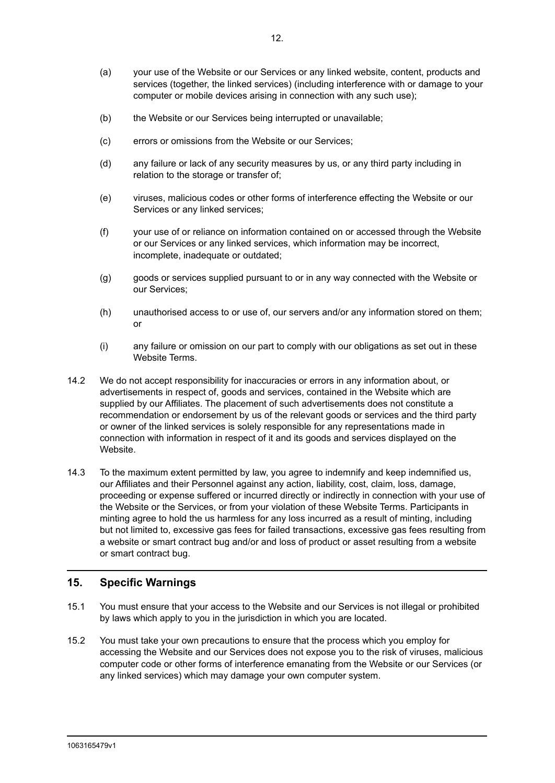- (a) your use of the Website or our Services or any linked website, content, products and services (together, the linked services) (including interference with or damage to your computer or mobile devices arising in connection with any such use);
- (b) the Website or our Services being interrupted or unavailable;
- (c) errors or omissions from the Website or our Services;
- (d) any failure or lack of any security measures by us, or any third party including in relation to the storage or transfer of;
- (e) viruses, malicious codes or other forms of interference effecting the Website or our Services or any linked services;
- (f) your use of or reliance on information contained on or accessed through the Website or our Services or any linked services, which information may be incorrect, incomplete, inadequate or outdated;
- (g) goods or services supplied pursuant to or in any way connected with the Website or our Services;
- (h) unauthorised access to or use of, our servers and/or any information stored on them; or
- (i) any failure or omission on our part to comply with our obligations as set out in these Website Terms.
- 14.2 We do not accept responsibility for inaccuracies or errors in any information about, or advertisements in respect of, goods and services, contained in the Website which are supplied by our Affiliates. The placement of such advertisements does not constitute a recommendation or endorsement by us of the relevant goods or services and the third party or owner of the linked services is solely responsible for any representations made in connection with information in respect of it and its goods and services displayed on the Website.
- 14.3 To the maximum extent permitted by law, you agree to indemnify and keep indemnified us, our Affiliates and their Personnel against any action, liability, cost, claim, loss, damage, proceeding or expense suffered or incurred directly or indirectly in connection with your use of the Website or the Services, or from your violation of these Website Terms. Participants in minting agree to hold the us harmless for any loss incurred as a result of minting, including but not limited to, excessive gas fees for failed transactions, excessive gas fees resulting from a website or smart contract bug and/or and loss of product or asset resulting from a website or smart contract bug.

# **15. Specific Warnings**

- 15.1 You must ensure that your access to the Website and our Services is not illegal or prohibited by laws which apply to you in the jurisdiction in which you are located.
- 15.2 You must take your own precautions to ensure that the process which you employ for accessing the Website and our Services does not expose you to the risk of viruses, malicious computer code or other forms of interference emanating from the Website or our Services (or any linked services) which may damage your own computer system.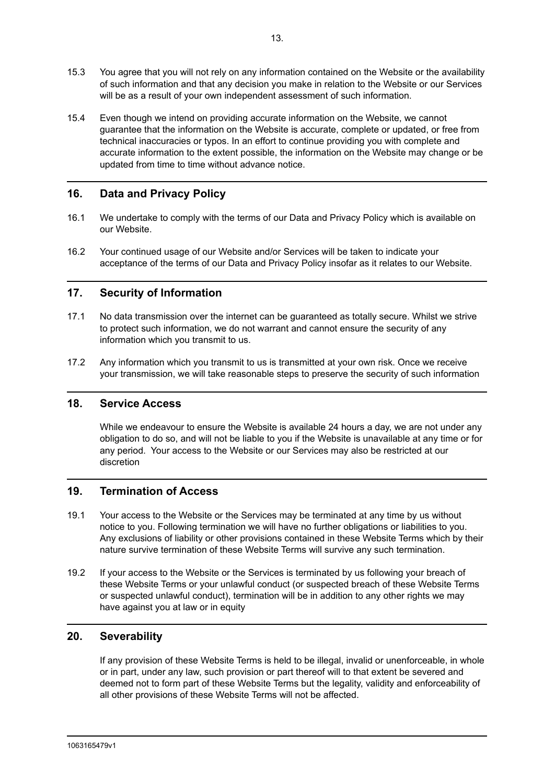- 15.3 You agree that you will not rely on any information contained on the Website or the availability of such information and that any decision you make in relation to the Website or our Services will be as a result of your own independent assessment of such information.
- 15.4 Even though we intend on providing accurate information on the Website, we cannot guarantee that the information on the Website is accurate, complete or updated, or free from technical inaccuracies or typos. In an effort to continue providing you with complete and accurate information to the extent possible, the information on the Website may change or be updated from time to time without advance notice.

# **16. Data and Privacy Policy**

- 16.1 We undertake to comply with the terms of our Data and Privacy Policy which is available on our Website.
- 16.2 Your continued usage of our Website and/or Services will be taken to indicate your acceptance of the terms of our Data and Privacy Policy insofar as it relates to our Website.

# **17. Security of Information**

- 17.1 No data transmission over the internet can be guaranteed as totally secure. Whilst we strive to protect such information, we do not warrant and cannot ensure the security of any information which you transmit to us.
- 17.2 Any information which you transmit to us is transmitted at your own risk. Once we receive your transmission, we will take reasonable steps to preserve the security of such information

#### **18. Service Access**

While we endeavour to ensure the Website is available 24 hours a day, we are not under any obligation to do so, and will not be liable to you if the Website is unavailable at any time or for any period. Your access to the Website or our Services may also be restricted at our discretion

# **19. Termination of Access**

- 19.1 Your access to the Website or the Services may be terminated at any time by us without notice to you. Following termination we will have no further obligations or liabilities to you. Any exclusions of liability or other provisions contained in these Website Terms which by their nature survive termination of these Website Terms will survive any such termination.
- 19.2 If your access to the Website or the Services is terminated by us following your breach of these Website Terms or your unlawful conduct (or suspected breach of these Website Terms or suspected unlawful conduct), termination will be in addition to any other rights we may have against you at law or in equity

# **20. Severability**

If any provision of these Website Terms is held to be illegal, invalid or unenforceable, in whole or in part, under any law, such provision or part thereof will to that extent be severed and deemed not to form part of these Website Terms but the legality, validity and enforceability of all other provisions of these Website Terms will not be affected.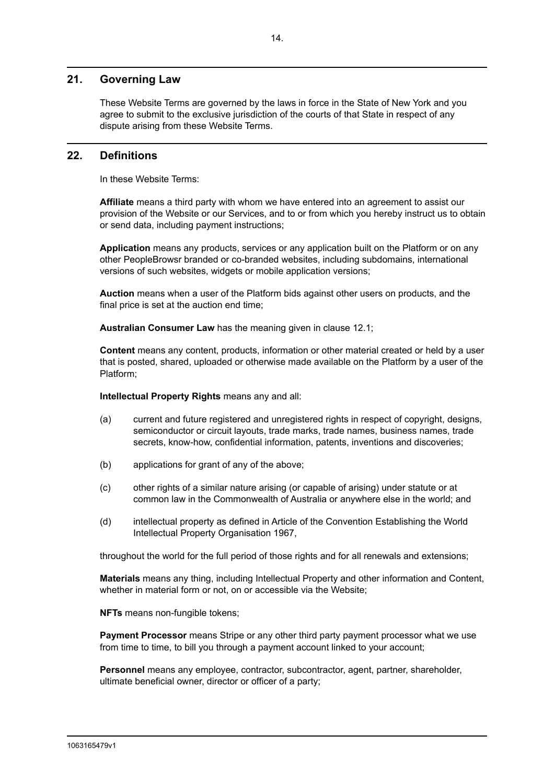# **21. Governing Law**

These Website Terms are governed by the laws in force in the State of New York and you agree to submit to the exclusive jurisdiction of the courts of that State in respect of any dispute arising from these Website Terms.

#### **22. Definitions**

In these Website Terms:

**Affiliate** means a third party with whom we have entered into an agreement to assist our provision of the Website or our Services, and to or from which you hereby instruct us to obtain or send data, including payment instructions;

**Application** means any products, services or any application built on the Platform or on any other PeopleBrowsr branded or co-branded websites, including subdomains, international versions of such websites, widgets or mobile application versions;

**Auction** means when a user of the Platform bids against other users on products, and the final price is set at the auction end time;

**Australian Consumer Law** has the meaning given in clause 12.1;

**Content** means any content, products, information or other material created or held by a user that is posted, shared, uploaded or otherwise made available on the Platform by a user of the Platform;

**Intellectual Property Rights** means any and all:

- (a) current and future registered and unregistered rights in respect of copyright, designs, semiconductor or circuit layouts, trade marks, trade names, business names, trade secrets, know-how, confidential information, patents, inventions and discoveries;
- (b) applications for grant of any of the above;
- (c) other rights of a similar nature arising (or capable of arising) under statute or at common law in the Commonwealth of Australia or anywhere else in the world; and
- (d) intellectual property as defined in Article of the Convention Establishing the World Intellectual Property Organisation 1967,

throughout the world for the full period of those rights and for all renewals and extensions;

**Materials** means any thing, including Intellectual Property and other information and Content, whether in material form or not, on or accessible via the Website;

**NFTs** means non-fungible tokens;

**Payment Processor** means Stripe or any other third party payment processor what we use from time to time, to bill you through a payment account linked to your account;

**Personnel** means any employee, contractor, subcontractor, agent, partner, shareholder, ultimate beneficial owner, director or officer of a party;